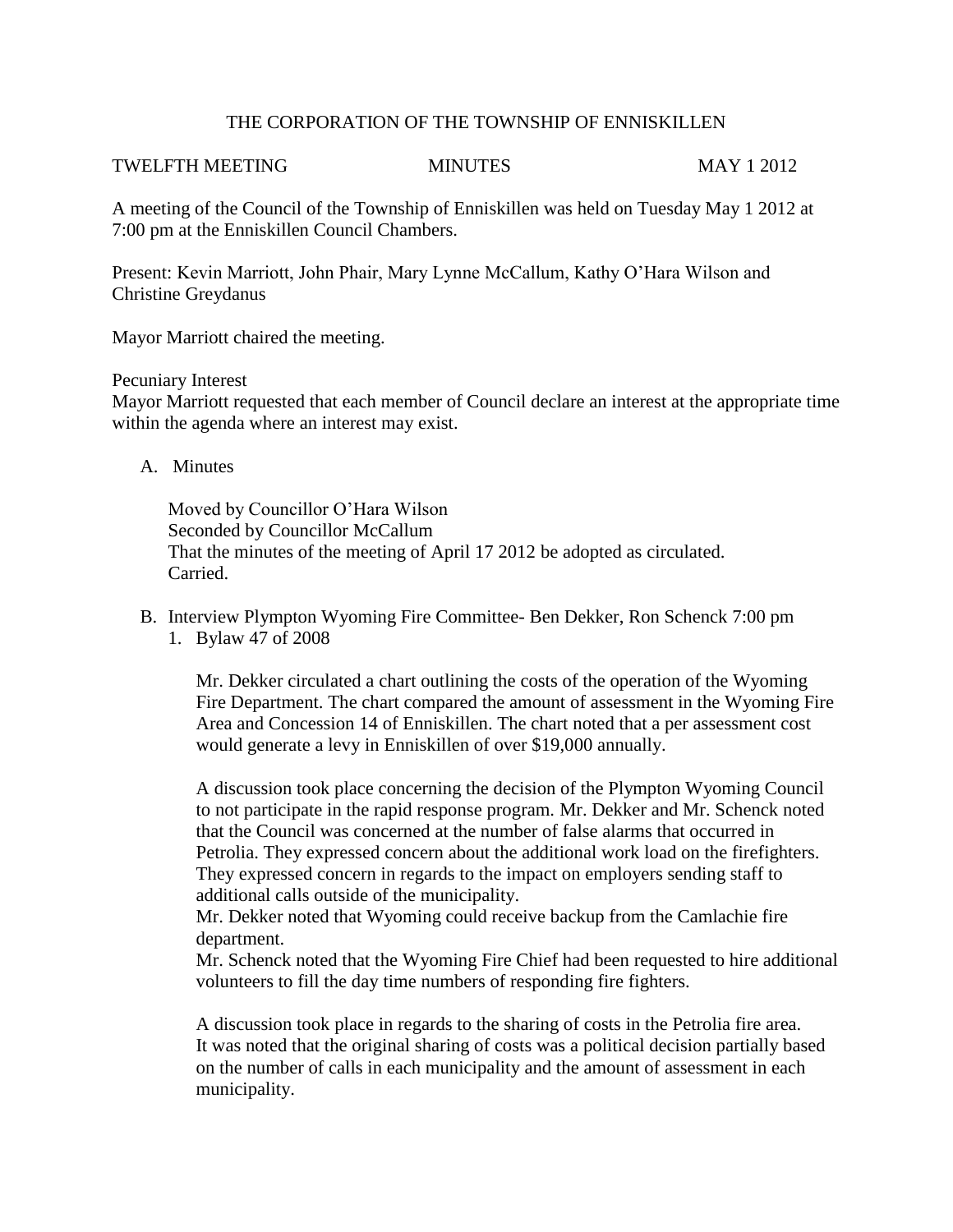## THE CORPORATION OF THE TOWNSHIP OF ENNISKILLEN

#### TWELFTH MEETING MINUTES MAY 1 2012

A meeting of the Council of the Township of Enniskillen was held on Tuesday May 1 2012 at 7:00 pm at the Enniskillen Council Chambers.

Present: Kevin Marriott, John Phair, Mary Lynne McCallum, Kathy O'Hara Wilson and Christine Greydanus

Mayor Marriott chaired the meeting.

Pecuniary Interest

Mayor Marriott requested that each member of Council declare an interest at the appropriate time within the agenda where an interest may exist.

A. Minutes

Moved by Councillor O'Hara Wilson Seconded by Councillor McCallum That the minutes of the meeting of April 17 2012 be adopted as circulated. Carried.

B. Interview Plympton Wyoming Fire Committee- Ben Dekker, Ron Schenck 7:00 pm 1. Bylaw 47 of 2008

Mr. Dekker circulated a chart outlining the costs of the operation of the Wyoming Fire Department. The chart compared the amount of assessment in the Wyoming Fire Area and Concession 14 of Enniskillen. The chart noted that a per assessment cost would generate a levy in Enniskillen of over \$19,000 annually.

A discussion took place concerning the decision of the Plympton Wyoming Council to not participate in the rapid response program. Mr. Dekker and Mr. Schenck noted that the Council was concerned at the number of false alarms that occurred in Petrolia. They expressed concern about the additional work load on the firefighters. They expressed concern in regards to the impact on employers sending staff to additional calls outside of the municipality.

Mr. Dekker noted that Wyoming could receive backup from the Camlachie fire department.

Mr. Schenck noted that the Wyoming Fire Chief had been requested to hire additional volunteers to fill the day time numbers of responding fire fighters.

A discussion took place in regards to the sharing of costs in the Petrolia fire area. It was noted that the original sharing of costs was a political decision partially based on the number of calls in each municipality and the amount of assessment in each municipality.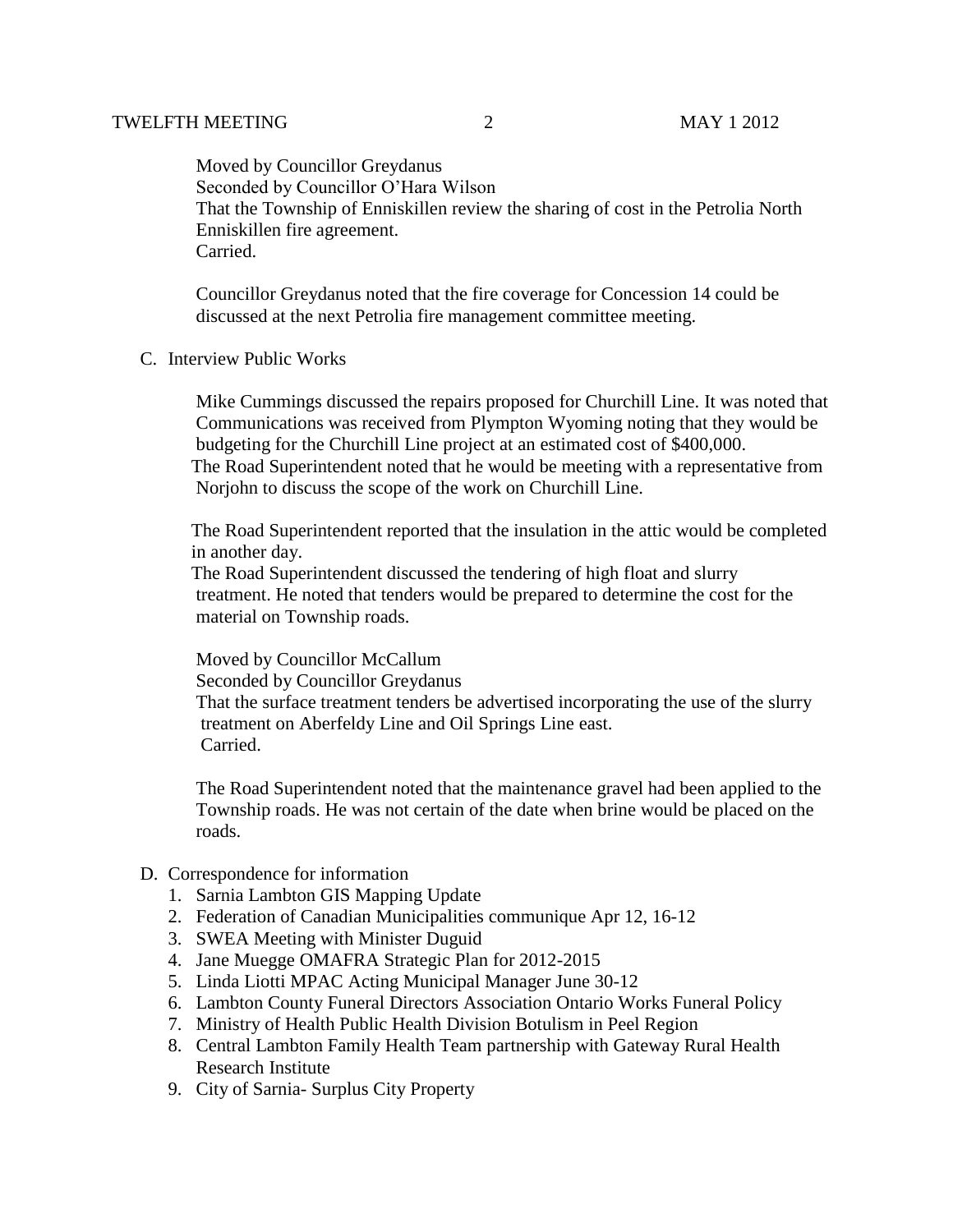Moved by Councillor Greydanus Seconded by Councillor O'Hara Wilson That the Township of Enniskillen review the sharing of cost in the Petrolia North Enniskillen fire agreement. Carried.

Councillor Greydanus noted that the fire coverage for Concession 14 could be discussed at the next Petrolia fire management committee meeting.

C. Interview Public Works

 Mike Cummings discussed the repairs proposed for Churchill Line. It was noted that Communications was received from Plympton Wyoming noting that they would be budgeting for the Churchill Line project at an estimated cost of \$400,000. The Road Superintendent noted that he would be meeting with a representative from Norjohn to discuss the scope of the work on Churchill Line.

 The Road Superintendent reported that the insulation in the attic would be completed in another day.

 The Road Superintendent discussed the tendering of high float and slurry treatment. He noted that tenders would be prepared to determine the cost for the material on Township roads.

 Moved by Councillor McCallum Seconded by Councillor Greydanus That the surface treatment tenders be advertised incorporating the use of the slurry treatment on Aberfeldy Line and Oil Springs Line east. Carried.

 The Road Superintendent noted that the maintenance gravel had been applied to the Township roads. He was not certain of the date when brine would be placed on the roads.

- D. Correspondence for information
	- 1. Sarnia Lambton GIS Mapping Update
	- 2. Federation of Canadian Municipalities communique Apr 12, 16-12
	- 3. SWEA Meeting with Minister Duguid
	- 4. Jane Muegge OMAFRA Strategic Plan for 2012-2015
	- 5. Linda Liotti MPAC Acting Municipal Manager June 30-12
	- 6. Lambton County Funeral Directors Association Ontario Works Funeral Policy
	- 7. Ministry of Health Public Health Division Botulism in Peel Region
	- 8. Central Lambton Family Health Team partnership with Gateway Rural Health Research Institute
	- 9. City of Sarnia- Surplus City Property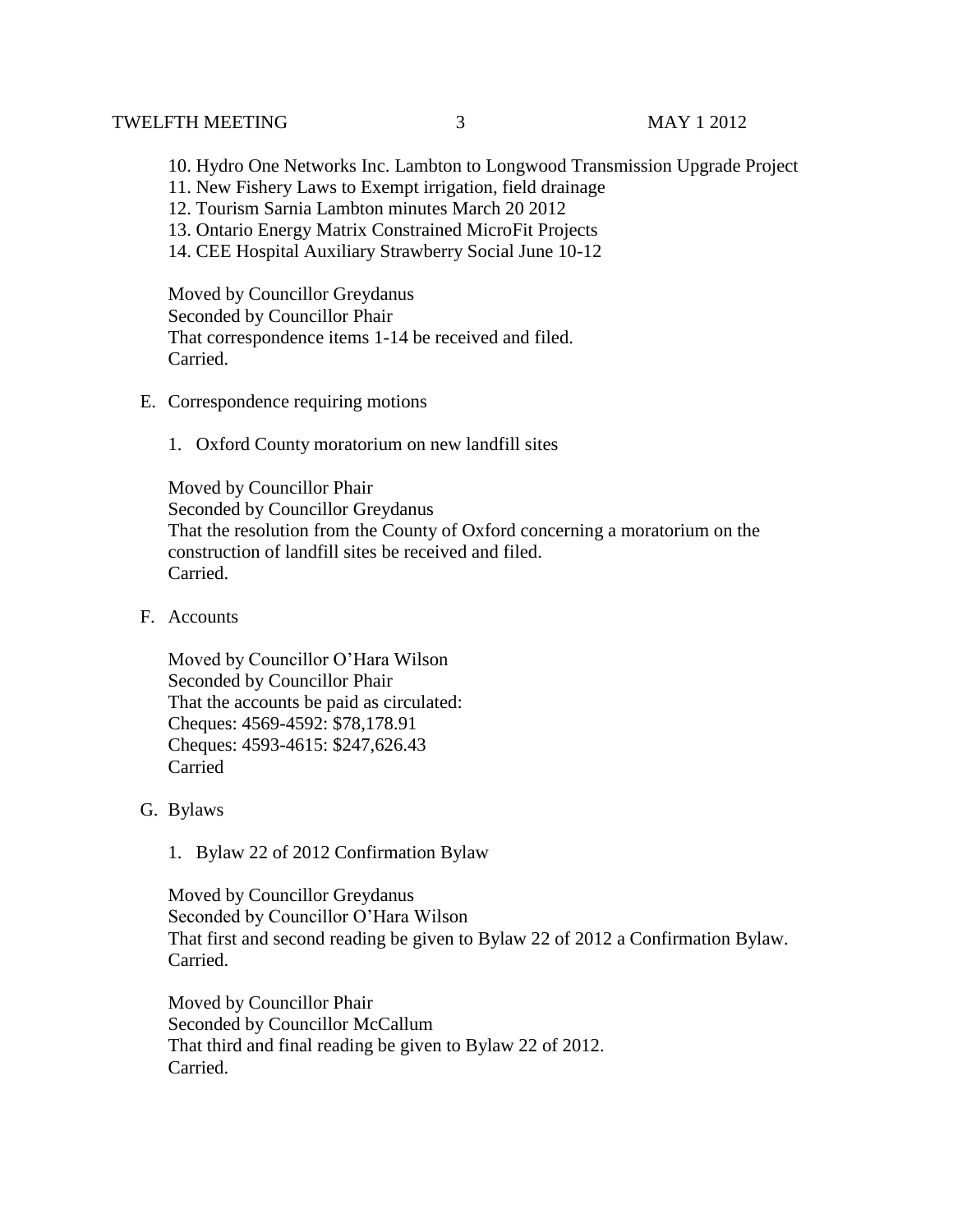### TWELFTH MEETING  $\begin{array}{ccc} 3 & 3 & 3 \end{array}$  MAY 1 2012

- 10. Hydro One Networks Inc. Lambton to Longwood Transmission Upgrade Project
- 11. New Fishery Laws to Exempt irrigation, field drainage
- 12. Tourism Sarnia Lambton minutes March 20 2012
- 13. Ontario Energy Matrix Constrained MicroFit Projects
- 14. CEE Hospital Auxiliary Strawberry Social June 10-12

Moved by Councillor Greydanus Seconded by Councillor Phair That correspondence items 1-14 be received and filed. Carried.

- E. Correspondence requiring motions
	- 1. Oxford County moratorium on new landfill sites

Moved by Councillor Phair Seconded by Councillor Greydanus That the resolution from the County of Oxford concerning a moratorium on the construction of landfill sites be received and filed. Carried.

F. Accounts

Moved by Councillor O'Hara Wilson Seconded by Councillor Phair That the accounts be paid as circulated: Cheques: 4569-4592: \$78,178.91 Cheques: 4593-4615: \$247,626.43 Carried

- G. Bylaws
	- 1. Bylaw 22 of 2012 Confirmation Bylaw

Moved by Councillor Greydanus Seconded by Councillor O'Hara Wilson That first and second reading be given to Bylaw 22 of 2012 a Confirmation Bylaw. Carried.

Moved by Councillor Phair Seconded by Councillor McCallum That third and final reading be given to Bylaw 22 of 2012. Carried.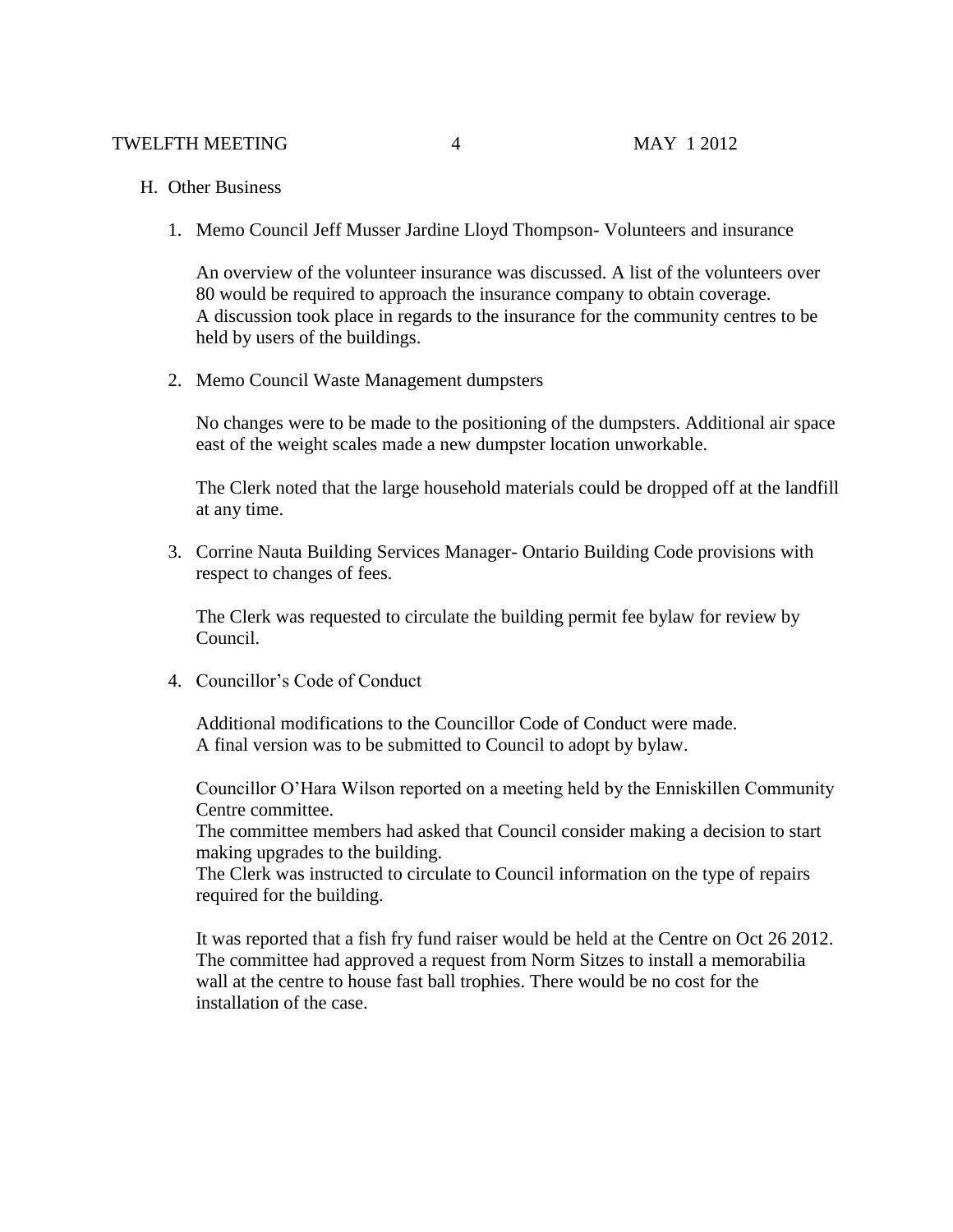- H. Other Business
	- 1. Memo Council Jeff Musser Jardine Lloyd Thompson- Volunteers and insurance

An overview of the volunteer insurance was discussed. A list of the volunteers over 80 would be required to approach the insurance company to obtain coverage. A discussion took place in regards to the insurance for the community centres to be held by users of the buildings.

2. Memo Council Waste Management dumpsters

No changes were to be made to the positioning of the dumpsters. Additional air space east of the weight scales made a new dumpster location unworkable.

The Clerk noted that the large household materials could be dropped off at the landfill at any time.

3. Corrine Nauta Building Services Manager- Ontario Building Code provisions with respect to changes of fees.

The Clerk was requested to circulate the building permit fee bylaw for review by Council.

4. Councillor's Code of Conduct

Additional modifications to the Councillor Code of Conduct were made. A final version was to be submitted to Council to adopt by bylaw.

Councillor O'Hara Wilson reported on a meeting held by the Enniskillen Community Centre committee.

The committee members had asked that Council consider making a decision to start making upgrades to the building.

The Clerk was instructed to circulate to Council information on the type of repairs required for the building.

It was reported that a fish fry fund raiser would be held at the Centre on Oct 26 2012. The committee had approved a request from Norm Sitzes to install a memorabilia wall at the centre to house fast ball trophies. There would be no cost for the installation of the case.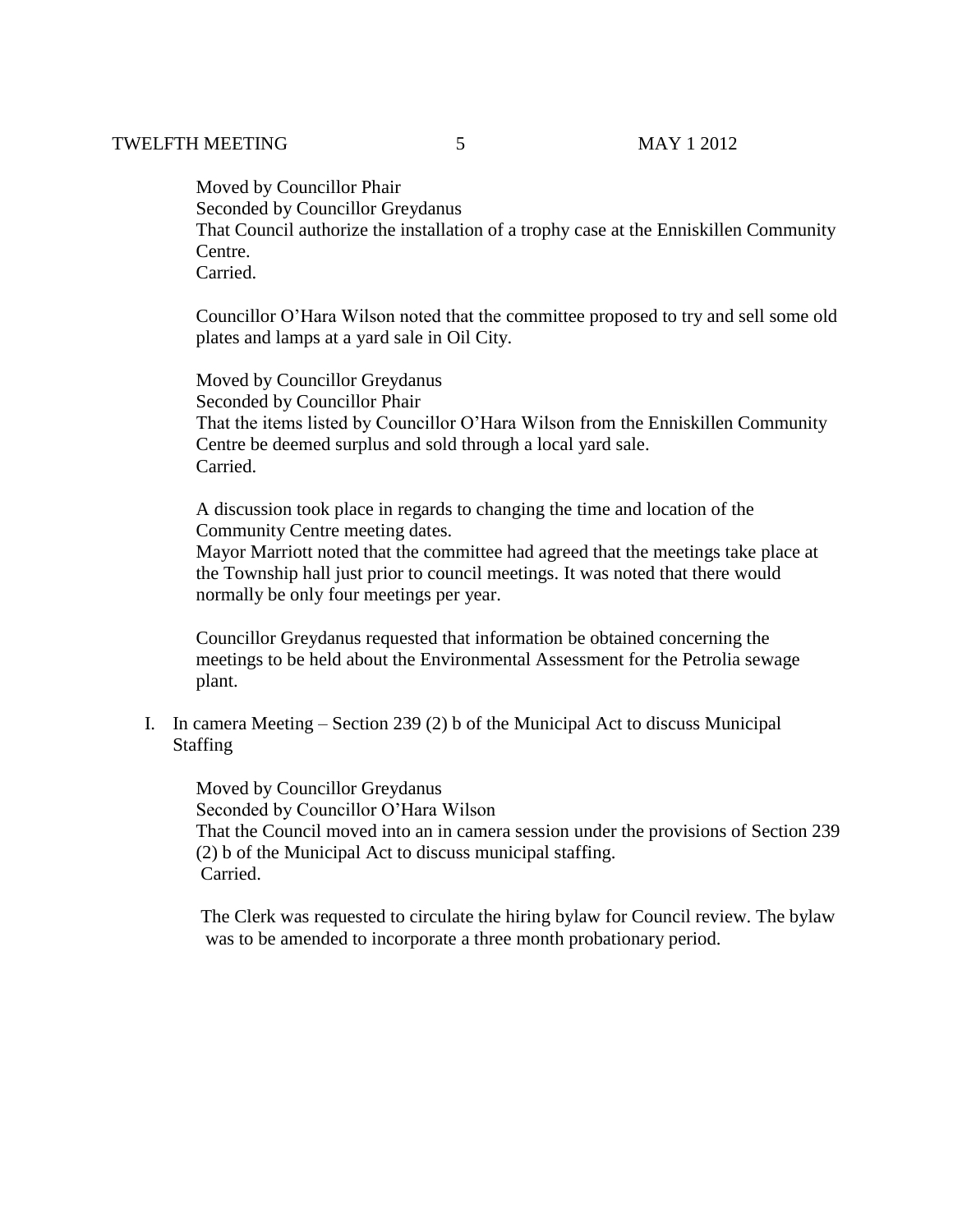Moved by Councillor Phair Seconded by Councillor Greydanus That Council authorize the installation of a trophy case at the Enniskillen Community Centre. Carried.

Councillor O'Hara Wilson noted that the committee proposed to try and sell some old plates and lamps at a yard sale in Oil City.

Moved by Councillor Greydanus Seconded by Councillor Phair That the items listed by Councillor O'Hara Wilson from the Enniskillen Community Centre be deemed surplus and sold through a local yard sale. Carried.

A discussion took place in regards to changing the time and location of the Community Centre meeting dates.

Mayor Marriott noted that the committee had agreed that the meetings take place at the Township hall just prior to council meetings. It was noted that there would normally be only four meetings per year.

Councillor Greydanus requested that information be obtained concerning the meetings to be held about the Environmental Assessment for the Petrolia sewage plant.

I. In camera Meeting – Section 239 (2) b of the Municipal Act to discuss Municipal Staffing

 Moved by Councillor Greydanus Seconded by Councillor O'Hara Wilson That the Council moved into an in camera session under the provisions of Section 239 (2) b of the Municipal Act to discuss municipal staffing. Carried.

 The Clerk was requested to circulate the hiring bylaw for Council review. The bylaw was to be amended to incorporate a three month probationary period.